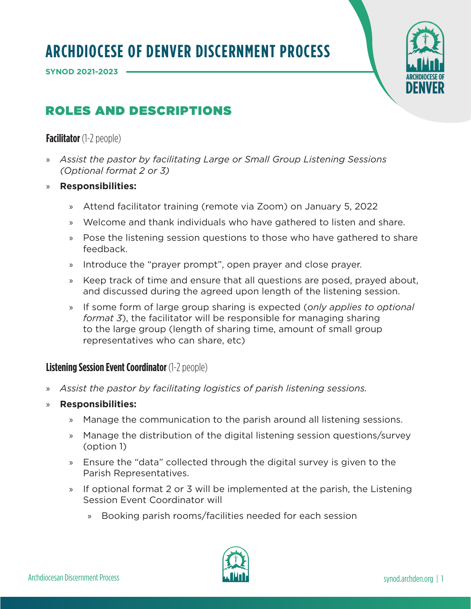**SYNOD 2021-2023** 



# ROLES AND DESCRIPTIONS

**Facilitator** (1-2 people)

- » *Assist the pastor by facilitating Large or Small Group Listening Sessions (Optional format 2 or 3)*
- » **Responsibilities:**
	- » Attend facilitator training (remote via Zoom) on January 5, 2022
	- » Welcome and thank individuals who have gathered to listen and share.
	- » Pose the listening session questions to those who have gathered to share feedback.
	- » Introduce the "prayer prompt", open prayer and close prayer.
	- » Keep track of time and ensure that all questions are posed, prayed about, and discussed during the agreed upon length of the listening session.
	- » If some form of large group sharing is expected (*only applies to optional format 3*), the facilitator will be responsible for managing sharing to the large group (length of sharing time, amount of small group representatives who can share, etc)

## **Listening Session Event Coordinator** (1-2 people)

- » *Assist the pastor by facilitating logistics of parish listening sessions.*
- » **Responsibilities:**
	- » Manage the communication to the parish around all listening sessions.
	- » Manage the distribution of the digital listening session questions/survey (option 1)
	- » Ensure the "data" collected through the digital survey is given to the Parish Representatives.
	- » If optional format 2 or 3 will be implemented at the parish, the Listening Session Event Coordinator will
		- » Booking parish rooms/facilities needed for each session

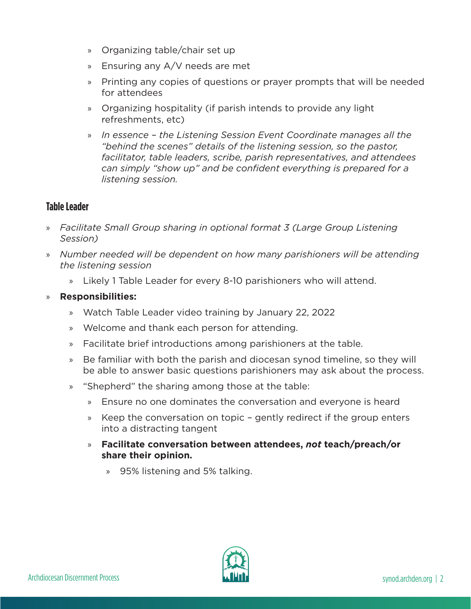- » Organizing table/chair set up
- » Ensuring any A/V needs are met
- » Printing any copies of questions or prayer prompts that will be needed for attendees
- » Organizing hospitality (if parish intends to provide any light refreshments, etc)
- » *In essence the Listening Session Event Coordinate manages all the "behind the scenes" details of the listening session, so the pastor, facilitator, table leaders, scribe, parish representatives, and attendees can simply "show up" and be confident everything is prepared for a listening session.*

## **Table Leader**

- » *Facilitate Small Group sharing in optional format 3 (Large Group Listening Session)*
- » *Number needed will be dependent on how many parishioners will be attending the listening session*
	- » Likely 1 Table Leader for every 8-10 parishioners who will attend.

#### » **Responsibilities:**

- » Watch Table Leader video training by January 22, 2022
- » Welcome and thank each person for attending.
- » Facilitate brief introductions among parishioners at the table.
- » Be familiar with both the parish and diocesan synod timeline, so they will be able to answer basic questions parishioners may ask about the process.
- » "Shepherd" the sharing among those at the table:
	- » Ensure no one dominates the conversation and everyone is heard
	- » Keep the conversation on topic gently redirect if the group enters into a distracting tangent
	- » **Facilitate conversation between attendees,** *not* **teach/preach/or share their opinion.**
		- » 95% listening and 5% talking.

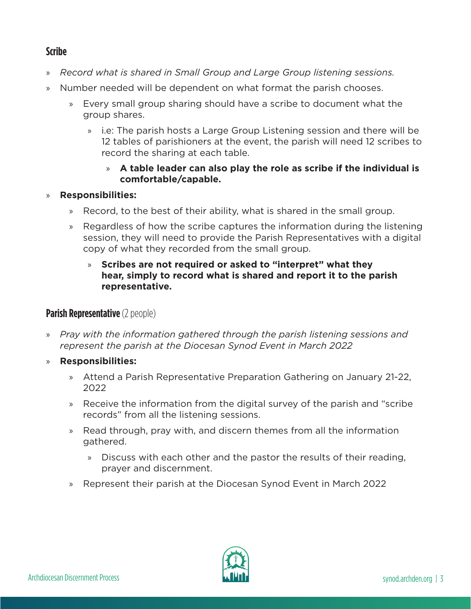# **Scribe**

- » *Record what is shared in Small Group and Large Group listening sessions.*
- » Number needed will be dependent on what format the parish chooses.
	- » Every small group sharing should have a scribe to document what the group shares.
		- » i.e: The parish hosts a Large Group Listening session and there will be 12 tables of parishioners at the event, the parish will need 12 scribes to record the sharing at each table.

#### » **A table leader can also play the role as scribe if the individual is comfortable/capable.**

### » **Responsibilities:**

- » Record, to the best of their ability, what is shared in the small group.
- » Regardless of how the scribe captures the information during the listening session, they will need to provide the Parish Representatives with a digital copy of what they recorded from the small group.

#### » **Scribes are not required or asked to "interpret" what they hear, simply to record what is shared and report it to the parish representative.**

# **Parish Representative** (2 people)

- » *Pray with the information gathered through the parish listening sessions and represent the parish at the Diocesan Synod Event in March 2022*
- » **Responsibilities:** 
	- » Attend a Parish Representative Preparation Gathering on January 21-22, 2022
	- » Receive the information from the digital survey of the parish and "scribe records" from all the listening sessions.
	- » Read through, pray with, and discern themes from all the information gathered.
		- » Discuss with each other and the pastor the results of their reading, prayer and discernment.
	- » Represent their parish at the Diocesan Synod Event in March 2022